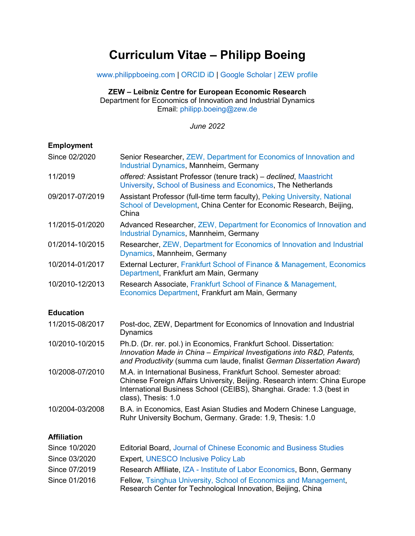# **Curriculum Vitae – Philipp Boeing**

[www.philippboeing.com](https://www.philippboeing.com/) | [ORCID iD](https://orcid.org/0000-0001-7024-0956) | [Google Scholar](https://scholar.google.de/citations?user=I8pxawoAAAAJ&hl=en) | [ZEW profile](https://www.zew.de/en/team/pbo/?cHash=36b500e065e5b21699b89dfe779a2aca)

## **ZEW – Leibniz Centre for European Economic Research**

Department for Economics of Innovation and Industrial Dynamics Email: [philipp.boeing@zew.de](mailto:philipp.boeing@zew.de)

*June 2022*

## **Employment**

| Since 02/2020      | Senior Researcher, ZEW, Department for Economics of Innovation and<br><b>Industrial Dynamics, Mannheim, Germany</b>                                                                                                                             |
|--------------------|-------------------------------------------------------------------------------------------------------------------------------------------------------------------------------------------------------------------------------------------------|
| 11/2019            | offered: Assistant Professor (tenure track) - declined, Maastricht<br>University, School of Business and Economics, The Netherlands                                                                                                             |
| 09/2017-07/2019    | Assistant Professor (full-time term faculty), Peking University, National<br>School of Development, China Center for Economic Research, Beijing,<br>China                                                                                       |
| 11/2015-01/2020    | Advanced Researcher, ZEW, Department for Economics of Innovation and<br><b>Industrial Dynamics, Mannheim, Germany</b>                                                                                                                           |
| 01/2014-10/2015    | Researcher, ZEW, Department for Economics of Innovation and Industrial<br>Dynamics, Mannheim, Germany                                                                                                                                           |
| 10/2014-01/2017    | External Lecturer, Frankfurt School of Finance & Management, Economics<br>Department, Frankfurt am Main, Germany                                                                                                                                |
| 10/2010-12/2013    | Research Associate, Frankfurt School of Finance & Management,<br>Economics Department, Frankfurt am Main, Germany                                                                                                                               |
| <b>Education</b>   |                                                                                                                                                                                                                                                 |
| 11/2015-08/2017    | Post-doc, ZEW, Department for Economics of Innovation and Industrial<br><b>Dynamics</b>                                                                                                                                                         |
| 10/2010-10/2015    | Ph.D. (Dr. rer. pol.) in Economics, Frankfurt School. Dissertation:<br>Innovation Made in China - Empirical Investigations into R&D, Patents,<br>and Productivity (summa cum laude, finalist German Dissertation Award)                         |
| 10/2008-07/2010    | M.A. in International Business, Frankfurt School. Semester abroad:<br>Chinese Foreign Affairs University, Beijing. Research intern: China Europe<br>International Business School (CEIBS), Shanghai. Grade: 1.3 (best in<br>class), Thesis: 1.0 |
| 10/2004-03/2008    | B.A. in Economics, East Asian Studies and Modern Chinese Language,<br>Ruhr University Bochum, Germany. Grade: 1.9, Thesis: 1.0                                                                                                                  |
| <b>Affiliation</b> |                                                                                                                                                                                                                                                 |
| Since 10/2020      | <b>Editorial Board, Journal of Chinese Economic and Business Studies</b>                                                                                                                                                                        |
| Since 03/2020      | <b>Expert, UNESCO Inclusive Policy Lab</b>                                                                                                                                                                                                      |
| Since 07/2019      | Research Affiliate, IZA - Institute of Labor Economics, Bonn, Germany                                                                                                                                                                           |
| Since 01/2016      | Fellow, Tsinghua University, School of Economics and Management,                                                                                                                                                                                |

Research Center for Technological Innovation, Beijing, China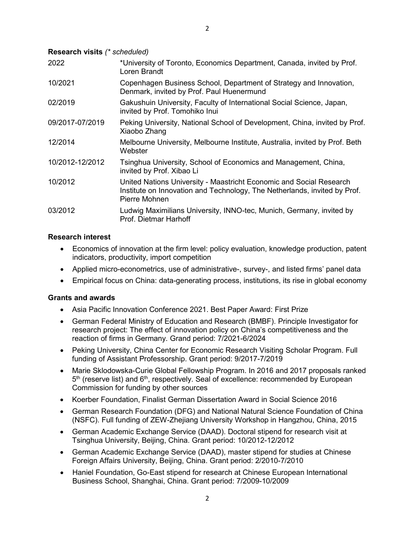| 2022            | *University of Toronto, Economics Department, Canada, invited by Prof.<br>Loren Brandt                                                                            |
|-----------------|-------------------------------------------------------------------------------------------------------------------------------------------------------------------|
| 10/2021         | Copenhagen Business School, Department of Strategy and Innovation,<br>Denmark, invited by Prof. Paul Huenermund                                                   |
| 02/2019         | Gakushuin University, Faculty of International Social Science, Japan,<br>invited by Prof. Tomohiko Inui                                                           |
| 09/2017-07/2019 | Peking University, National School of Development, China, invited by Prof.<br>Xiaobo Zhang                                                                        |
| 12/2014         | Melbourne University, Melbourne Institute, Australia, invited by Prof. Beth<br>Webster                                                                            |
| 10/2012-12/2012 | Tsinghua University, School of Economics and Management, China,<br>invited by Prof. Xibao Li                                                                      |
| 10/2012         | United Nations University - Maastricht Economic and Social Research<br>Institute on Innovation and Technology, The Netherlands, invited by Prof.<br>Pierre Mohnen |
| 03/2012         | Ludwig Maximilians University, INNO-tec, Munich, Germany, invited by<br>Prof. Dietmar Harhoff                                                                     |

## **Research interest**

- Economics of innovation at the firm level: policy evaluation, knowledge production, patent indicators, productivity, import competition
- Applied micro-econometrics, use of administrative-, survey-, and listed firms' panel data
- Empirical focus on China: data-generating process, institutions, its rise in global economy

#### **Grants and awards**

- Asia Pacific Innovation Conference 2021. Best Paper Award: First Prize
- German Federal Ministry of Education and Research (BMBF). Principle Investigator for research project: The effect of innovation policy on China's competitiveness and the reaction of firms in Germany. Grand period: 7/2021-6/2024
- Peking University, China Center for Economic Research Visiting Scholar Program. Full funding of Assistant Professorship. Grant period: 9/2017-7/2019
- Marie Sklodowska-Curie Global Fellowship Program. In 2016 and 2017 proposals ranked  $5<sup>th</sup>$  (reserve list) and  $6<sup>th</sup>$ , respectively. Seal of excellence: recommended by European Commission for funding by other sources
- Koerber Foundation, Finalist German Dissertation Award in Social Science 2016
- German Research Foundation (DFG) and National Natural Science Foundation of China (NSFC). Full funding of ZEW-Zhejiang University Workshop in Hangzhou, China, 2015
- German Academic Exchange Service (DAAD). Doctoral stipend for research visit at Tsinghua University, Beijing, China. Grant period: 10/2012-12/2012
- German Academic Exchange Service (DAAD), master stipend for studies at Chinese Foreign Affairs University, Beijing, China. Grant period: 2/2010-7/2010
- Haniel Foundation, Go-East stipend for research at Chinese European International Business School, Shanghai, China. Grant period: 7/2009-10/2009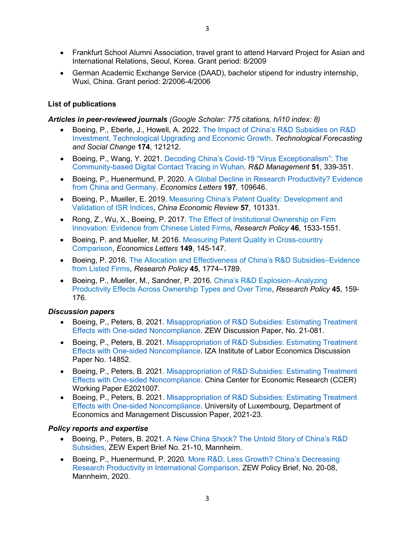- Frankfurt School Alumni Association, travel grant to attend Harvard Project for Asian and International Relations, Seoul, Korea. Grant period: 8/2009
- German Academic Exchange Service (DAAD), bachelor stipend for industry internship, Wuxi, China. Grant period: 2/2006-4/2006

## **List of publications**

#### *Articles in peer-reviewed journals (Google Scholar: 775 citations, h/i10 index: 8)*

- Boeing, P., Eberle, J., Howell, A. 2022. [The Impact of China's R&D Subsidies on R&D](https://www.sciencedirect.com/science/article/pii/S0040162521006454?via%3Dihub)  [Investment, Technological Upgrading and Economic Growth.](https://www.sciencedirect.com/science/article/pii/S0040162521006454?via%3Dihub) *Technological Forecasting and Social Change* **174**, 121212.
- Boeing, P., Wang, Y. 2021. [Decoding China's Covid-19 "Virus Exceptionalism": The](https://onlinelibrary.wiley.com/doi/full/10.1111/radm.12464)  [Community-based Digital Contact Tracing in Wuhan.](https://onlinelibrary.wiley.com/doi/full/10.1111/radm.12464) *R&D Management* **51**, 339-351.
- Boeing, P., Huenermund, P. 2020. [A Global Decline in Research Productivity?](https://www.sciencedirect.com/science/article/abs/pii/S0165176520304067?dgcid=coauthor) Evidence [from China and Germany.](https://www.sciencedirect.com/science/article/abs/pii/S0165176520304067?dgcid=coauthor) *Economics Letters* **197***,* 109646.
- Boeing, P., Mueller, E. 2019. [Measuring China's Patent Quality: Development and](https://www.sciencedirect.com/science/article/pii/S1043951X19300926?dgcid=author)  [Validation of ISR Indices,](https://www.sciencedirect.com/science/article/pii/S1043951X19300926?dgcid=author) *China Economic Review* **57***,* 101331.
- Rong, Z., Wu, X., Boeing, P. 2017. [The Effect of Institutional Ownership on Firm](https://doi.org/10.1016/j.respol.2017.05.013)  [Innovation: Evidence from Chinese Listed Firms,](https://doi.org/10.1016/j.respol.2017.05.013) *Research Policy* **46**, 1533-1551.
- Boeing, P. and Mueller, M. 2016. [Measuring Patent Quality in Cross-country](https://doi.org/10.1016/j.econlet.2016.10.039)  [Comparison,](https://doi.org/10.1016/j.econlet.2016.10.039) *Economics Letters* **149**, 145-147.
- Boeing, P. 2016. [The Allocation and Effectiveness of China's R&D Subsidies–Evidence](https://doi.org/10.1016/j.respol.2016.05.007)  [from Listed Firms,](https://doi.org/10.1016/j.respol.2016.05.007) *Research Policy* **45**, 1774–1789.
- Boeing, P., Mueller, M., Sandner, P. 2016. [China's R&D Explosion–Analyzing](https://doi.org/10.1016/j.respol.2015.07.008)  [Productivity Effects Across Ownership Types and Over Time,](https://doi.org/10.1016/j.respol.2015.07.008) *Research Policy* **45**, 159- 176.

#### *Discussion papers*

- Boeing, P., Peters, B. 2021. [Misappropriation of R&D Subsidies:](https://ftp.zew.de/pub/zew-docs/dp/dp21081.pdf) Estimating Treatment [Effects with One-sided Noncompliance.](https://ftp.zew.de/pub/zew-docs/dp/dp21081.pdf) ZEW Discussion Paper, No. 21-081.
- Boeing, P., Peters, B. 2021. [Misappropriation of R&D Subsidies: Estimating Treatment](https://docs.iza.org/dp14852.pdf)  [Effects with One-sided Noncompliance.](https://docs.iza.org/dp14852.pdf) IZA Institute of Labor Economics Discussion Paper No. 14852.
- Boeing, P., Peters, B. 2021. [Misappropriation of R&D Subsidies:](https://0a45d633-4ac7-4c47-bbbc-42ab14923035.filesusr.com/ugd/c23157_142b49166bfa49a09608739279cb09b5.pdf) Estimating Treatment [Effects with One-sided Noncompliance.](https://0a45d633-4ac7-4c47-bbbc-42ab14923035.filesusr.com/ugd/c23157_142b49166bfa49a09608739279cb09b5.pdf) China Center for Economic Research (CCER) Working Paper E2021007.
- Boeing, P., Peters, B. 2021. [Misappropriation of R&D Subsidies: Estimating Treatment](https://wwwfr.uni.lu/content/download/140452/1597916/file/DP2021-23%20Misappropriation%20of%20R&D%20Subsidies%20-%20Estimating%20Treatment%20Effects%20with%20One-sided%20Noncompliance.pdf)  [Effects with One-sided Noncompliance.](https://wwwfr.uni.lu/content/download/140452/1597916/file/DP2021-23%20Misappropriation%20of%20R&D%20Subsidies%20-%20Estimating%20Treatment%20Effects%20with%20One-sided%20Noncompliance.pdf) University of Luxembourg, Department of Economics and Management Discussion Paper, 2021-23.

#### *Policy reports and expertise*

- Boeing, P., Peters, B. 2021. [A New China Shock? The Untold Story of China's R&D](https://www.zew.de/fileadmin/FTP/ZEWKurzexpertisen/EN/ZEWShortreport_2110.pdf)  [Subsidies,](https://www.zew.de/fileadmin/FTP/ZEWKurzexpertisen/EN/ZEWShortreport_2110.pdf) ZEW Expert Brief No. 21-10, Mannheim.
- Boeing, P., Huenermund, P. 2020. [More R&D, Less Growth? China's Decreasing](http://ftp.zew.de/pub/zew-docs/policybrief/en/pb08-20.pdf) [Research Productivity in International Comparison.](http://ftp.zew.de/pub/zew-docs/policybrief/en/pb08-20.pdf) ZEW Policy Brief, No. 20-08, Mannheim, 2020.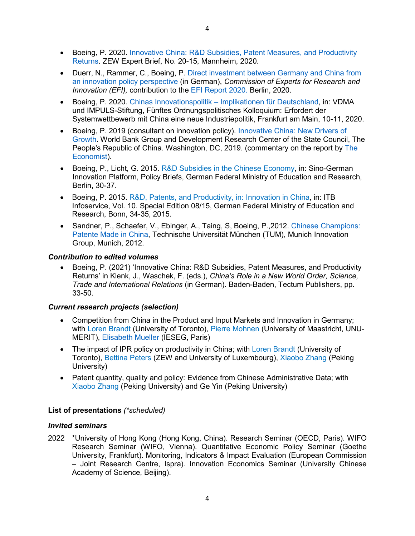- Duerr, N., Rammer, C., Boeing, P. [Direct investment between Germany and China from](https://www.e-fi.de/fileadmin/Assets/Studien/2020/StuDIS_08_2020.pdf)  [an innovation policy perspective](https://www.e-fi.de/fileadmin/Assets/Studien/2020/StuDIS_08_2020.pdf) (in German), *Commission of Experts for Research and Innovation (EFI),* contribution to the [EFI Report 2020.](https://www.e-fi.de/fileadmin/Assets/Gutachten/EFI_Report_2020.pdf) Berlin, 2020.
- Boeing, P. 2020. Chinas Innovationspolitik [Implikationen für Deutschland,](http://www.impuls-stiftung.de/documents/3581372/46838590/5_ORDO_Kolloquium_Industriepolitik_1580744749380.pdf/f670c160-a889-913f-7f88-7e2f9b3fd6b9) in: VDMA und IMPULS-Stiftung, Fünftes Ordnungspolitisches Kolloquium: Erfordert der Systemwettbewerb mit China eine neue Industriepolitik, Frankfurt am Main, 10-11, 2020.
- Boeing, P. 2019 (consultant on innovation policy). [Innovative China: New Drivers of](https://openknowledge.worldbank.org/handle/10986/32351)  [Growth.](https://openknowledge.worldbank.org/handle/10986/32351) World Bank Group and Development Research Center of the State Council, The People's Republic of China. Washington, DC, 2019. (commentary on the report by [The](https://www.economist.com/finance-and-economics/2019/09/19/wrapped-in-polite-wording-the-world-bank-delivers-a-warning-to-china)  [Economist\)](https://www.economist.com/finance-and-economics/2019/09/19/wrapped-in-polite-wording-the-world-bank-delivers-a-warning-to-china).
- Boeing, P., Licht, G. 2015. [R&D Subsidies in the Chinese Economy,](https://www.plattform-innovation.de/files/Chinatag_Policy_Briefs_final.pdf) in: Sino-German Innovation Platform, Policy Briefs, German Federal Ministry of Education and Research, Berlin, 30-37.
- Boeing, P. 2015. [R&D, Patents, and Productivity, in: Innovation in China,](https://www.kooperation-international.de/fileadmin/public/downloads/itb/info_15_08_28_SAG.pdf) in: ITB Infoservice, Vol. 10. Special Edition 08/15, German Federal Ministry of Education and Research, Bonn, 34-35, 2015.
- Sandner, P., Schaefer, V., Ebinger, A., Taing, S, Boeing, P.,2012. [Chinese Champions:](https://web.archive.org/web/20131207222721/http:/www.chinese-champions.de/wordpress/wp-content/uploads/Studie_Chinese_Champions.pdf)  [Patente Made in China,](https://web.archive.org/web/20131207222721/http:/www.chinese-champions.de/wordpress/wp-content/uploads/Studie_Chinese_Champions.pdf) Technische Universität München (TUM), Munich Innovation Group, Munich, 2012.

## *Contribution to edited volumes*

• Boeing, P. (2021) 'Innovative China: R&D Subsidies, Patent Measures, and Productivity Returns' in Klenk, J., Waschek, F. (eds.), *China's Role in a New World Order, Science, Trade and International Relations* (in German). Baden-Baden, Tectum Publishers, pp. 33-50.

## *Current research projects (selection)*

- Competition from China in the Product and Input Markets and Innovation in Germany; with [Loren Brandt](https://www.economics.utoronto.ca/index.php/index/person/person/faculty/12) (University of Toronto), [Pierre Mohnen](http://www.merit.unu.edu/about-us/profile/?staff_id=40) (University of Maastricht, UNU-MERIT), [Elisabeth Mueller](https://www.ieseg.fr/en/faculty-and-research/professor/?id=303434) (IESEG, Paris)
- The impact of IPR policy on productivity in China; with [Loren Brandt](https://www.economics.utoronto.ca/index.php/index/person/person/faculty/12) (University of Toronto), [Bettina Peters](http://www.zew.de/en/team/bpe/) (ZEW and University of Luxembourg), [Xiaobo Zhang](http://www.nsd.pku.edu.cn/teachers/full-time/Z/2015/060818901.html) (Peking University)
- Patent quantity, quality and policy: Evidence from Chinese Administrative Data; with [Xiaobo Zhang](http://www.nsd.pku.edu.cn/teachers/full-time/Z/2015/060818901.html) (Peking University) and Ge Yin (Peking University)

## **List of presentations** *(\*scheduled)*

## *Invited seminars*

2022 \*University of Hong Kong (Hong Kong, China). Research Seminar (OECD, Paris). WIFO Research Seminar (WIFO, Vienna). Quantitative Economic Policy Seminar (Goethe University, Frankfurt). Monitoring, Indicators & Impact Evaluation (European Commission – Joint Research Centre, Ispra). Innovation Economics Seminar (University Chinese Academy of Science, Beijing).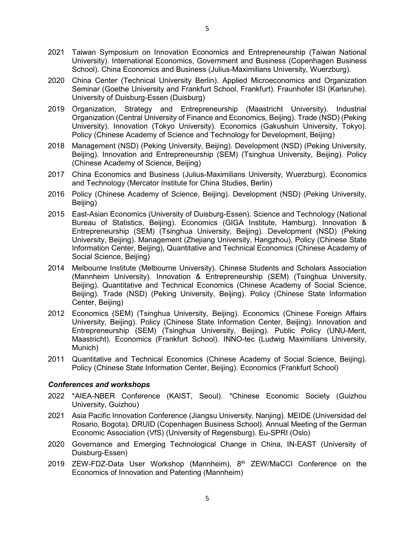- 2021 Taiwan Symposium on Innovation Economics and Entrepreneurship (Taiwan National University). International Economics, Government and Business (Copenhagen Business School). China Economics and Business (Julius-Maximilians University, Wuerzburg).
- 2020 China Center (Technical University Berlin). Applied Microeconomics and Organization Seminar (Goethe University and Frankfurt School, Frankfurt). Fraunhofer ISI (Karlsruhe). University of Duisburg-Essen (Duisburg)
- 2019 Organization, Strategy and Entrepreneurship (Maastricht University). Industrial Organization (Central University of Finance and Economics, Beijing). Trade (NSD) (Peking University). Innovation (Tokyo University). Economics (Gakushuin University, Tokyo). Policy (Chinese Academy of Science and Technology for Development, Beijing)
- 2018 Management (NSD) (Peking University, Beijing). Development (NSD) (Peking University, Beijing). Innovation and Entrepreneurship (SEM) (Tsinghua University, Beijing). Policy (Chinese Academy of Science, Beijing)
- 2017 China Economics and Business (Julius-Maximilians University, Wuerzburg). Economics and Technology (Mercator Institute for China Studies, Berlin)
- 2016 Policy (Chinese Academy of Science, Beijing). Development (NSD) (Peking University, Beijing)
- 2015 East-Asian Economics (University of Duisburg-Essen). Science and Technology (National Bureau of Statistics, Beijing). Economics (GIGA Institute, Hamburg). Innovation & Entrepreneurship (SEM) (Tsinghua University, Beijing). Development (NSD) (Peking University, Beijing). Management (Zhejiang University, Hangzhou), Policy (Chinese State Information Center, Beijing), Quantitative and Technical Economics (Chinese Academy of Social Science, Beijing)
- 2014 Melbourne Institute (Melbourne University). Chinese Students and Scholars Association (Mannheim University). Innovation & Entrepreneurship (SEM) (Tsinghua University, Beijing). Quantitative and Technical Economics (Chinese Academy of Social Science, Beijing). Trade (NSD) (Peking University, Beijing). Policy (Chinese State Information Center, Beijing)
- 2012 Economics (SEM) (Tsinghua University, Beijing). Economics (Chinese Foreign Affairs University, Beijing). Policy (Chinese State Information Center, Beijing). Innovation and Entrepreneurship (SEM) (Tsinghua University, Beijing). Public Policy (UNU-Merit, Maastricht). Economics (Frankfurt School). INNO-tec (Ludwig Maximilians University, Munich)
- 2011 Quantitative and Technical Economics (Chinese Academy of Social Science, Beijing). Policy (Chinese State Information Center, Beijing). Economics (Frankfurt School)

#### *Conferences and workshops*

- 2022 \*AIEA-NBER Conference (KAIST, Seoul). \*Chinese Economic Society (Guizhou University, Guizhou)
- 2021 Asia Pacific Innovation Conference (Jiangsu University, Nanjing). MEIDE (Universidad del Rosario, Bogota). DRUID (Copenhagen Business School). Annual Meeting of the German Economic Association (VfS) (University of Regensburg). Eu-SPRI (Oslo)
- 2020 Governance and Emerging Technological Change in China, IN-EAST (University of Duisburg-Essen)
- 2019 ZEW-FDZ-Data User Workshop (Mannheim),  $8<sup>th</sup>$  ZEW/MaCCI Conference on the Economics of Innovation and Patenting (Mannheim)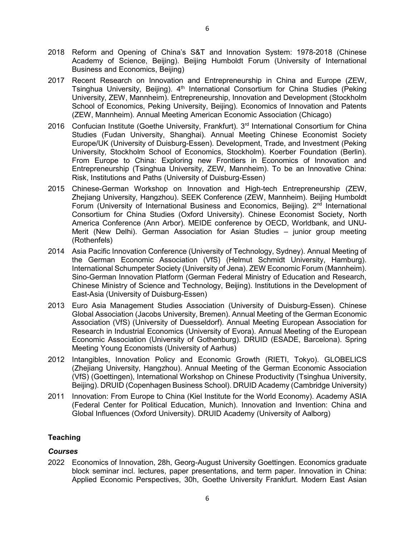- 2018 Reform and Opening of China's S&T and Innovation System: 1978-2018 (Chinese Academy of Science, Beijing). Beijing Humboldt Forum (University of International Business and Economics, Beijing)
- 2017 Recent Research on Innovation and Entrepreneurship in China and Europe (ZEW, Tsinghua University, Beijing).  $4<sup>th</sup>$  International Consortium for China Studies (Peking University, ZEW, Mannheim). Entrepreneurship, Innovation and Development (Stockholm School of Economics, Peking University, Beijing). Economics of Innovation and Patents (ZEW, Mannheim). Annual Meeting American Economic Association (Chicago)
- 2016 Confucian Institute (Goethe University, Frankfurt). 3<sup>rd</sup> International Consortium for China Studies (Fudan University, Shanghai). Annual Meeting Chinese Economist Society Europe/UK (University of Duisburg-Essen). Development, Trade, and Investment (Peking University, Stockholm School of Economics, Stockholm). Koerber Foundation (Berlin). From Europe to China: Exploring new Frontiers in Economics of Innovation and Entrepreneurship (Tsinghua University, ZEW, Mannheim). To be an Innovative China: Risk, Institutions and Paths (University of Duisburg-Essen)
- 2015 Chinese-German Workshop on Innovation and High-tech Entrepreneurship (ZEW, Zhejiang University, Hangzhou). SEEK Conference (ZEW, Mannheim). Beijing Humboldt Forum (University of International Business and Economics, Beijing).  $2<sup>nd</sup>$  International Consortium for China Studies (Oxford University). Chinese Economist Society, North America Conference (Ann Arbor). MEIDE conference by OECD, Worldbank, and UNU-Merit (New Delhi). German Association for Asian Studies – junior group meeting (Rothenfels)
- 2014 Asia Pacific Innovation Conference (University of Technology, Sydney). Annual Meeting of the German Economic Association (VfS) (Helmut Schmidt University, Hamburg). International Schumpeter Society (University of Jena). ZEW Economic Forum (Mannheim). Sino-German Innovation Platform (German Federal Ministry of Education and Research, Chinese Ministry of Science and Technology, Beijing). Institutions in the Development of East-Asia (University of Duisburg-Essen)
- 2013 Euro Asia Management Studies Association (University of Duisburg-Essen). Chinese Global Association (Jacobs University, Bremen). Annual Meeting of the German Economic Association (VfS) (University of Duesseldorf). Annual Meeting European Association for Research in Industrial Economics (University of Evora). Annual Meeting of the European Economic Association (University of Gothenburg). DRUID (ESADE, Barcelona). Spring Meeting Young Economists (University of Aarhus)
- 2012 Intangibles, Innovation Policy and Economic Growth (RIETI, Tokyo). GLOBELICS (Zhejiang University, Hangzhou). Annual Meeting of the German Economic Association (VfS) (Goettingen), International Workshop on Chinese Productivity (Tsinghua University, Beijing). DRUID (Copenhagen Business School). DRUID Academy (Cambridge University)
- 2011 Innovation: From Europe to China (Kiel Institute for the World Economy). Academy ASIA (Federal Center for Political Education, Munich). Innovation and Invention: China and Global Influences (Oxford University). DRUID Academy (University of Aalborg)

## **Teaching**

# *Courses*

2022 Economics of Innovation, 28h, Georg-August University Goettingen. Economics graduate block seminar incl. lectures, paper presentations, and term paper. Innovation in China: Applied Economic Perspectives, 30h, Goethe University Frankfurt. Modern East Asian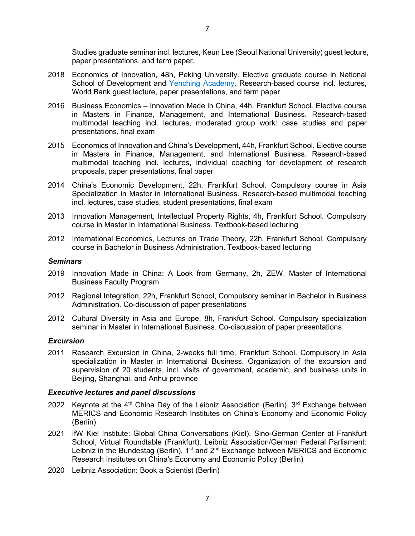paper presentations, and term paper. 2018 Economics of Innovation, 48h, Peking University. Elective graduate course in National

- School of Development and [Yenching Academy.](http://yenchingacademy.pku.edu.cn/) Research-based course incl. lectures, World Bank guest lecture, paper presentations, and term paper
- 2016 Business Economics Innovation Made in China, 44h, Frankfurt School. Elective course in Masters in Finance, Management, and International Business. Research-based multimodal teaching incl. lectures, moderated group work: case studies and paper presentations, final exam
- 2015 Economics of Innovation and China's Development, 44h, Frankfurt School. Elective course in Masters in Finance, Management, and International Business. Research-based multimodal teaching incl. lectures, individual coaching for development of research proposals, paper presentations, final paper
- 2014 China's Economic Development, 22h, Frankfurt School. Compulsory course in Asia Specialization in Master in International Business. Research-based multimodal teaching incl. lectures, case studies, student presentations, final exam
- 2013 Innovation Management, Intellectual Property Rights, 4h, Frankfurt School. Compulsory course in Master in International Business. Textbook-based lecturing
- 2012 International Economics, Lectures on Trade Theory, 22h, Frankfurt School. Compulsory course in Bachelor in Business Administration. Textbook-based lecturing

#### *Seminars*

- 2019 Innovation Made in China: A Look from Germany, 2h, ZEW. Master of International Business Faculty Program
- 2012 Regional Integration, 22h, Frankfurt School, Compulsory seminar in Bachelor in Business Administration. Co-discussion of paper presentations
- 2012 Cultural Diversity in Asia and Europe, 8h, Frankfurt School. Compulsory specialization seminar in Master in International Business. Co-discussion of paper presentations

#### *Excursion*

2011 Research Excursion in China, 2-weeks full time, Frankfurt School. Compulsory in Asia specialization in Master in International Business. Organization of the excursion and supervision of 20 students, incl. visits of government, academic, and business units in Beijing, Shanghai, and Anhui province

#### *Executive lectures and panel discussions*

- 2022 Keynote at the  $4<sup>th</sup>$  China Day of the Leibniz Association (Berlin).  $3<sup>rd</sup>$  Exchange between MERICS and Economic Research Institutes on China's Economy and Economic Policy (Berlin)
- 2021 IfW Kiel Institute: Global China Conversations (Kiel). Sino-German Center at Frankfurt School, Virtual Roundtable (Frankfurt). Leibniz Association/German Federal Parliament: Leibniz in the Bundestag (Berlin),  $1<sup>st</sup>$  and  $2<sup>nd</sup>$  Exchange between MERICS and Economic Research Institutes on China's Economy and Economic Policy (Berlin)
- 2020 Leibniz Association: Book a Scientist (Berlin)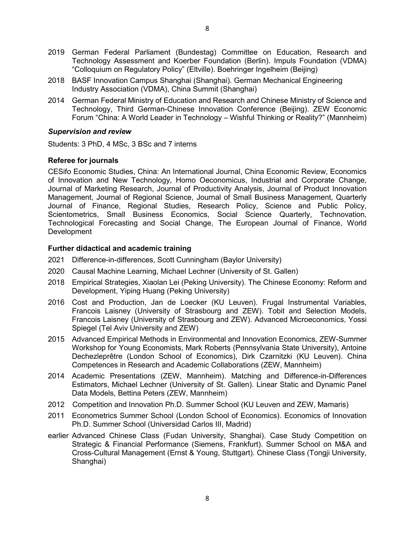- 2019 German Federal Parliament (Bundestag) Committee on Education, Research and Technology Assessment and Koerber Foundation (Berlin). Impuls Foundation (VDMA) "Colloquium on Regulatory Policy" (Eltville). Boehringer Ingelheim (Beijing)
- 2018 BASF Innovation Campus Shanghai (Shanghai). German Mechanical Engineering Industry Association (VDMA), China Summit (Shanghai)
- 2014 German Federal Ministry of Education and Research and Chinese Ministry of Science and Technology, Third German-Chinese Innovation Conference (Beijing). ZEW Economic Forum "China: A World Leader in Technology – Wishful Thinking or Reality?" (Mannheim)

#### *Supervision and review*

Students: 3 PhD, 4 MSc, 3 BSc and 7 interns

## **Referee for journals**

CESifo Economic Studies, China: An International Journal, China Economic Review, Economics of Innovation and New Technology, Homo Oeconomicus, Industrial and Corporate Change, Journal of Marketing Research, Journal of Productivity Analysis, Journal of Product Innovation Management, Journal of Regional Science, Journal of Small Business Management, Quarterly Journal of Finance, Regional Studies, Research Policy, Science and Public Policy, Scientometrics, Small Business Economics, Social Science Quarterly, Technovation, Technological Forecasting and Social Change, The European Journal of Finance, World Development

#### **Further didactical and academic training**

- 2021 Difference-in-differences, Scott Cunningham (Baylor University)
- 2020 Causal Machine Learning, Michael Lechner (University of St. Gallen)
- 2018 Empirical Strategies, Xiaolan Lei (Peking University). The Chinese Economy: Reform and Development, Yiping Huang (Peking University)
- 2016 Cost and Production, Jan de Loecker (KU Leuven). Frugal Instrumental Variables, Francois Laisney (University of Strasbourg and ZEW). Tobit and Selection Models, Francois Laisney (University of Strasbourg and ZEW). Advanced Microeconomics, Yossi Spiegel (Tel Aviv University and ZEW)
- 2015 Advanced Empirical Methods in Environmental and Innovation Economics, ZEW-Summer Workshop for Young Economists, Mark Roberts (Pennsylvania State University), Antoine Dechezleprêtre (London School of Economics), Dirk Czarnitzki (KU Leuven). China Competences in Research and Academic Collaborations (ZEW, Mannheim)
- 2014 Academic Presentations (ZEW, Mannheim). Matching and Difference-in-Differences Estimators, Michael Lechner (University of St. Gallen). Linear Static and Dynamic Panel Data Models, Bettina Peters (ZEW, Mannheim)
- 2012 Competition and Innovation Ph.D. Summer School (KU Leuven and ZEW, Mamaris)
- 2011 Econometrics Summer School (London School of Economics). Economics of Innovation Ph.D. Summer School (Universidad Carlos III, Madrid)
- earlier Advanced Chinese Class (Fudan University, Shanghai). Case Study Competition on Strategic & Financial Performance (Siemens, Frankfurt). Summer School on M&A and Cross-Cultural Management (Ernst & Young, Stuttgart). Chinese Class (Tongji University, Shanghai)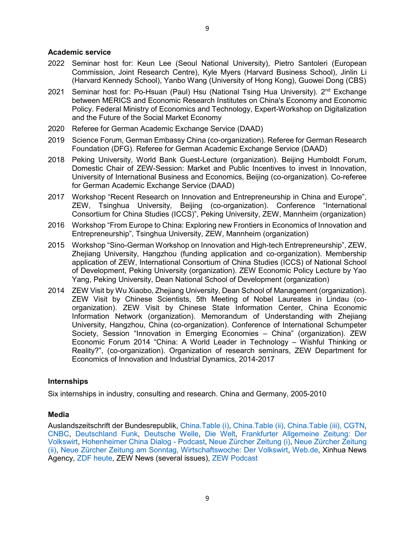- 2022 Seminar host for: Keun Lee (Seoul National University), Pietro Santoleri (European Commission, Joint Research Centre), Kyle Myers (Harvard Business School), Jinlin Li (Harvard Kennedy School), Yanbo Wang (University of Hong Kong), Guowei Dong (CBS)
- 2021 Seminar host for: Po-Hsuan (Paul) Hsu (National Tsing Hua University). 2<sup>nd</sup> Exchange between MERICS and Economic Research Institutes on China's Economy and Economic Policy. Federal Ministry of Economics and Technology, Expert-Workshop on Digitalization and the Future of the Social Market Economy
- 2020 Referee for German Academic Exchange Service (DAAD)
- 2019 Science Forum, German Embassy China (co-organization). Referee for German Research Foundation (DFG). Referee for German Academic Exchange Service (DAAD)
- 2018 Peking University, World Bank Guest-Lecture (organization). Beijing Humboldt Forum, Domestic Chair of ZEW-Session: Market and Public Incentives to invest in Innovation, University of International Business and Economics, Beijing (co-organization). Co-referee for German Academic Exchange Service (DAAD)
- 2017 Workshop "Recent Research on Innovation and Entrepreneurship in China and Europe", ZEW, Tsinghua University, Beijing (co-organization). Conference "International Consortium for China Studies (ICCS)", Peking University, ZEW, Mannheim (organization)
- 2016 Workshop "From Europe to China: Exploring new Frontiers in Economics of Innovation and Entrepreneurship", Tsinghua University, ZEW, Mannheim (organization)
- 2015 Workshop "Sino-German Workshop on Innovation and High-tech Entrepreneurship", ZEW, Zhejiang University, Hangzhou (funding application and co-organization). Membership application of ZEW, International Consortium of China Studies (ICCS) of National School of Development, Peking University (organization). ZEW Economic Policy Lecture by Yao Yang, Peking University, Dean National School of Development (organization)
- 2014 ZEW Visit by Wu Xiaobo, Zhejiang University, Dean School of Management (organization). ZEW Visit by Chinese Scientists, 5th Meeting of Nobel Laureates in Lindau (coorganization). ZEW Visit by Chinese State Information Center, China Economic Information Network (organization). Memorandum of Understanding with Zhejiang University, Hangzhou, China (co-organization). Conference of International Schumpeter Society, Session "Innovation in Emerging Economies – China" (organization). ZEW Economic Forum 2014 "China: A World Leader in Technology – Wishful Thinking or Reality?", (co-organization). Organization of research seminars, ZEW Department for Economics of Innovation and Industrial Dynamics, 2014-2017

## **Internships**

Six internships in industry, consulting and research. China and Germany, 2005-2010

## **Media**

Auslandszeitschrift der Bundesrepublik, [China.Table](https://0a45d633-4ac7-4c47-bbbc-42ab14923035.filesusr.com/ugd/c23157_77cc01d5b1074913bc3f7dbb443ec4a6.pdf) (i), [China.Table \(ii\),](https://www.philippboeing.com/_files/ugd/c23157_85e7db37cc2d4ff78965b52dbb08763a.pdf) [China.Table](https://www.philippboeing.com/_files/ugd/c23157_4db8265e4eed4319af3367290e5a607f.pdf) (iii), [CGTN,](https://news.cgtn.com/news/3145544d336b7a6333566d54/share_p.html) [CNBC,](https://www.cnbc.com/2019/12/26/china-races-to-build-its-own-tesla-as-economy-slows-subsidies-fade.html) [Deutschland Funk,](https://www.deutschlandfunk.de/innovationen-aus-fernost.676.de.html?dram:article_id=255121) [Deutsche Welle,](https://www.dw.com/en/the-chinese-copycat-turns-innovator/a-17710178) [Die Welt,](https://www.welt.de/wirtschaft/article157289676/China-faellt-gegenueber-dem-Westen-ueberraschend-zurueck.html) [Frankfurter Allgemeine Zeitung: Der](https://zeitung.faz.net/faz/wirtschaft/2020-12-21/f41578b863f52699dcf9bd0a64424a7f/?GEPC=s3)  [Volkswirt,](https://zeitung.faz.net/faz/wirtschaft/2020-12-21/f41578b863f52699dcf9bd0a64424a7f/?GEPC=s3) [Hohenheimer China Dialog -](https://chikoh.uni-hohenheim.de/index.php?id=144497) Podcast, [Neue Zürcher Zeitung](https://www.nzz.ch/meinung/china-kommunistische-partei-muss-innovative-kraefte-entfesseln-ld.1601088) (i), [Neue Zürcher Zeitung](https://www.nzz.ch/wirtschaft/china-subventioniert-innovation-teils-zweckentfremdet-nzz-ld.1654298)  [\(ii\),](https://www.nzz.ch/wirtschaft/china-subventioniert-innovation-teils-zweckentfremdet-nzz-ld.1654298) [Neue Zürcher Zeitung am Sonntag,](https://nzzas.nzz.ch/wissen/so-teuer-war-der-fortschritt-noch-nie-ld.1604023) [Wirtschaftswoche: Der Volkswirt,](https://www.wiwo.de/my/futureboard/innovation-chinas-patent-maerchen/23171920.html?ticket=ST-1908442-ZPwroQqsbc1bv4bM75cj-ap1) [Web.de,](https://web.de/magazine/wirtschaft/zero-covid-laehmt-produktion-china-heisst-wirtschaft-36715064) Xinhua News Agency, [ZDF heute,](https://www.zdf.de/nachrichten/wirtschaft/china-handel-wachstum-100.html) ZEW News (several issues), [ZEW Podcast](https://wirtschaft-forschung-debatten.podigee.io/14-zweckentfremdung-von-fe-subventionen-in-china)